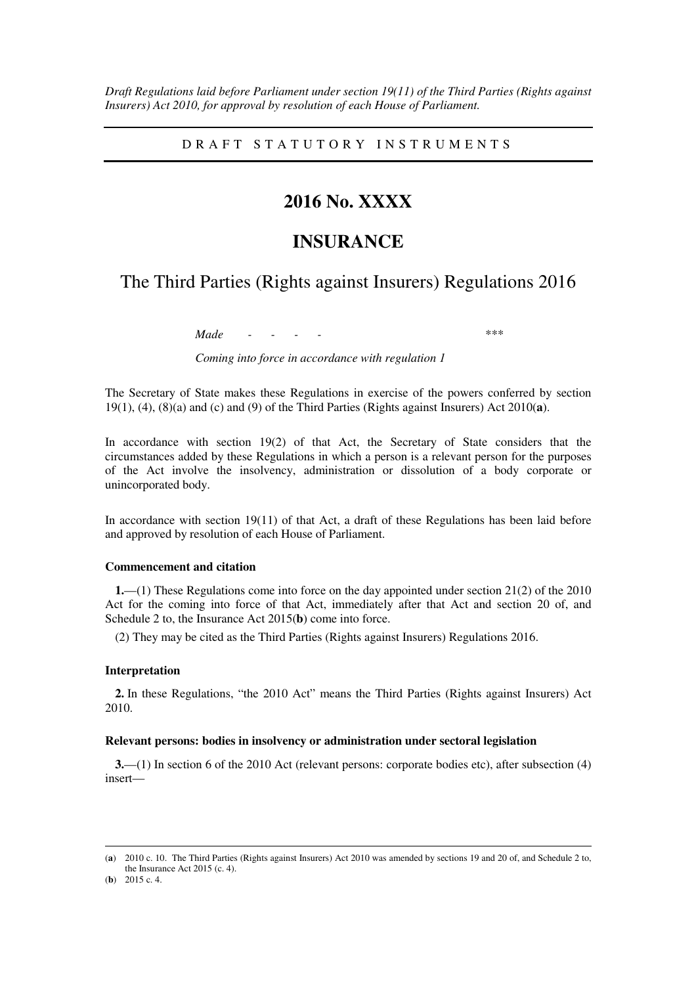*Draft Regulations laid before Parliament under section 19(11) of the Third Parties (Rights against Insurers) Act 2010, for approval by resolution of each House of Parliament.* 

D R A F T S T A T U T O R Y I N S T R U M E N T S

## **2016 No. XXXX**

# **INSURANCE**

## The Third Parties (Rights against Insurers) Regulations 2016

*Made - - - - \*\*\** 

*Coming into force in accordance with regulation 1* 

The Secretary of State makes these Regulations in exercise of the powers conferred by section 19(1), (4), (8)(a) and (c) and (9) of the Third Parties (Rights against Insurers) Act 2010(**a**).

In accordance with section 19(2) of that Act, the Secretary of State considers that the circumstances added by these Regulations in which a person is a relevant person for the purposes of the Act involve the insolvency, administration or dissolution of a body corporate or unincorporated body.

In accordance with section 19(11) of that Act, a draft of these Regulations has been laid before and approved by resolution of each House of Parliament.

### **Commencement and citation**

**1.**—(1) These Regulations come into force on the day appointed under section 21(2) of the 2010 Act for the coming into force of that Act, immediately after that Act and section 20 of, and Schedule 2 to, the Insurance Act 2015(**b**) come into force.

(2) They may be cited as the Third Parties (Rights against Insurers) Regulations 2016.

### **Interpretation**

**2.** In these Regulations, "the 2010 Act" means the Third Parties (Rights against Insurers) Act 2010.

### **Relevant persons: bodies in insolvency or administration under sectoral legislation**

**3.**—(1) In section 6 of the 2010 Act (relevant persons: corporate bodies etc), after subsection (4) insert—

<u>.</u>

<sup>(</sup>**a**) 2010 c. 10. The Third Parties (Rights against Insurers) Act 2010 was amended by sections 19 and 20 of, and Schedule 2 to, the Insurance Act 2015 (c. 4).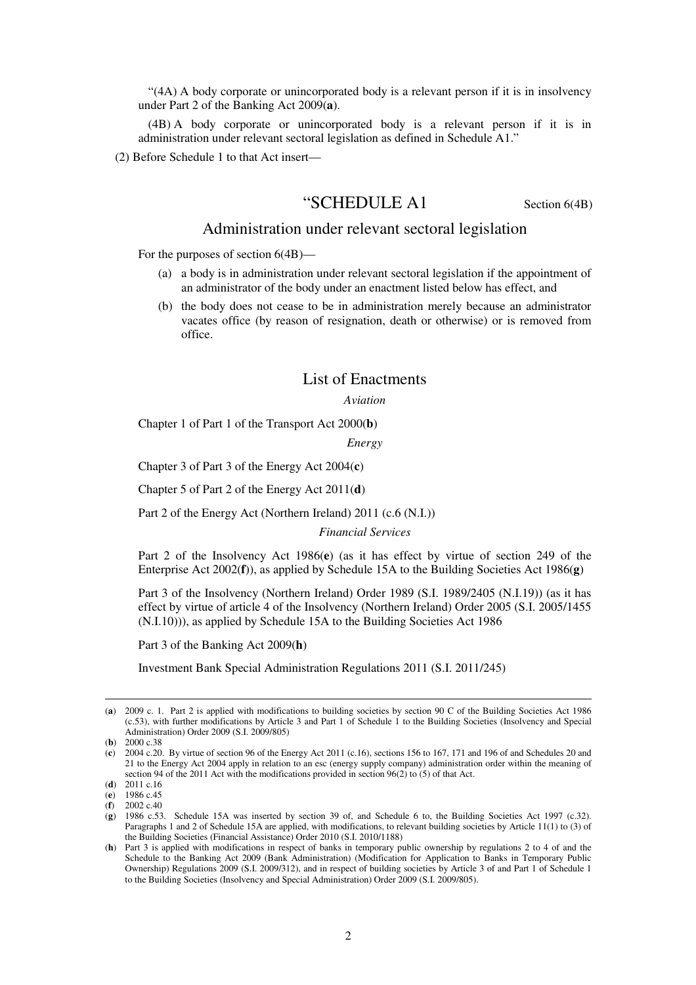"(4A) A body corporate or unincorporated body is a relevant person if it is in insolvency under Part 2 of the Banking Act 2009(**a**).

(4B) A body corporate or unincorporated body is a relevant person if it is in administration under relevant sectoral legislation as defined in Schedule A1."

(2) Before Schedule 1 to that Act insert—

## "SCHEDULE A1 Section 6(4B)

### Administration under relevant sectoral legislation

For the purposes of section 6(4B)—

- (a) a body is in administration under relevant sectoral legislation if the appointment of an administrator of the body under an enactment listed below has effect, and
- (b) the body does not cease to be in administration merely because an administrator vacates office (by reason of resignation, death or otherwise) or is removed from office.

### List of Enactments

*Aviation* 

Chapter 1 of Part 1 of the Transport Act 2000(**b**)

*Energy* 

Chapter 3 of Part 3 of the Energy Act 2004(**c**)

Chapter 5 of Part 2 of the Energy Act 2011(**d**)

Part 2 of the Energy Act (Northern Ireland) 2011 (c.6 (N.I.))

*Financial Services* 

Part 2 of the Insolvency Act 1986(**e**) (as it has effect by virtue of section 249 of the Enterprise Act 2002(**f**)), as applied by Schedule 15A to the Building Societies Act 1986(**g**)

Part 3 of the Insolvency (Northern Ireland) Order 1989 (S.I. 1989/2405 (N.I.19)) (as it has effect by virtue of article 4 of the Insolvency (Northern Ireland) Order 2005 (S.I. 2005/1455 (N.I.10))), as applied by Schedule 15A to the Building Societies Act 1986

Part 3 of the Banking Act 2009(**h**)

Investment Bank Special Administration Regulations 2011 (S.I. 2011/245)

<u>.</u>

<sup>(</sup>**a**) 2009 c. 1. Part 2 is applied with modifications to building societies by section 90 C of the Building Societies Act 1986 (c.53), with further modifications by Article 3 and Part 1 of Schedule 1 to the Building Societies (Insolvency and Special Administration) Order 2009 (S.I. 2009/805)

<sup>(</sup>**b**) 2000 c.38

<sup>(</sup>**c**) 2004 c.20. By virtue of section 96 of the Energy Act 2011 (c.16), sections 156 to 167, 171 and 196 of and Schedules 20 and 21 to the Energy Act 2004 apply in relation to an esc (energy supply company) administration order within the meaning of section 94 of the 2011 Act with the modifications provided in section 96(2) to (5) of that Act.

<sup>(</sup>**d**) 2011 c.16

<sup>(</sup>**e**) 1986 c.45

<sup>(</sup>**f**) 2002 c.40

<sup>(</sup>**g**) 1986 c.53. Schedule 15A was inserted by section 39 of, and Schedule 6 to, the Building Societies Act 1997 (c.32). Paragraphs 1 and 2 of Schedule 15A are applied, with modifications, to relevant building societies by Article 11(1) to (3) of the Building Societies (Financial Assistance) Order 2010 (S.I. 2010/1188)

<sup>(</sup>**h**) Part 3 is applied with modifications in respect of banks in temporary public ownership by regulations 2 to 4 of and the Schedule to the Banking Act 2009 (Bank Administration) (Modification for Application to Banks in Temporary Public Ownership) Regulations 2009 (S.I. 2009/312), and in respect of building societies by Article 3 of and Part 1 of Schedule 1 to the Building Societies (Insolvency and Special Administration) Order 2009 (S.I. 2009/805).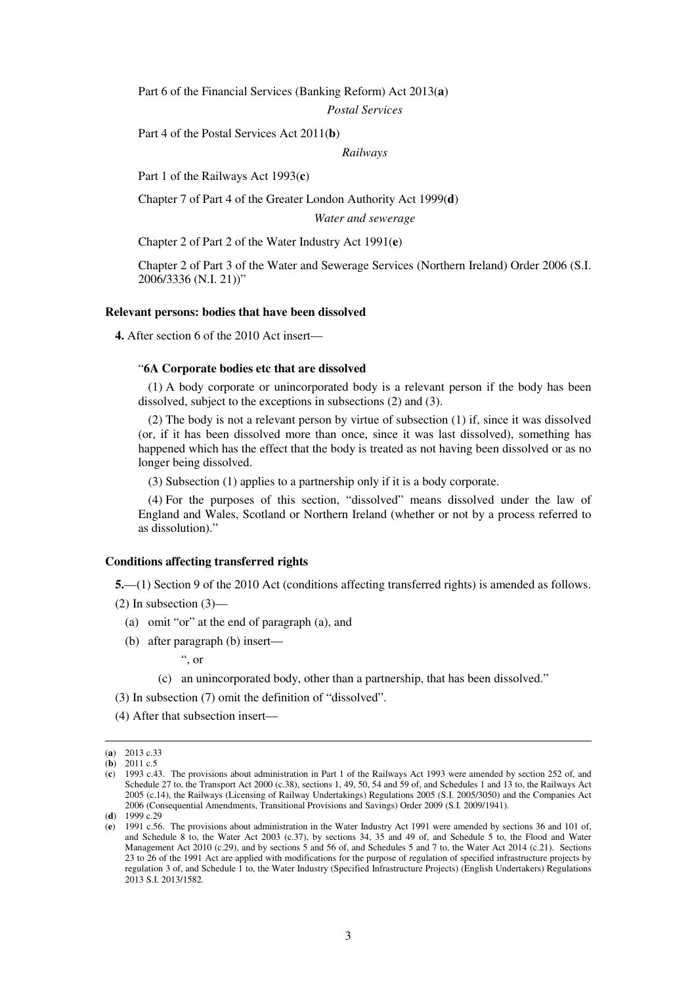Part 6 of the Financial Services (Banking Reform) Act 2013(**a**)

*Postal Services* 

Part 4 of the Postal Services Act 2011(**b**)

*Railways* 

Part 1 of the Railways Act 1993(**c**)

Chapter 7 of Part 4 of the Greater London Authority Act 1999(**d**)

*Water and sewerage* 

Chapter 2 of Part 2 of the Water Industry Act 1991(**e**)

Chapter 2 of Part 3 of the Water and Sewerage Services (Northern Ireland) Order 2006 (S.I. 2006/3336 (N.I. 21))"

#### **Relevant persons: bodies that have been dissolved**

**4.** After section 6 of the 2010 Act insert—

### "**6A Corporate bodies etc that are dissolved**

(1) A body corporate or unincorporated body is a relevant person if the body has been dissolved, subject to the exceptions in subsections (2) and (3).

(2) The body is not a relevant person by virtue of subsection (1) if, since it was dissolved (or, if it has been dissolved more than once, since it was last dissolved), something has happened which has the effect that the body is treated as not having been dissolved or as no longer being dissolved.

(3) Subsection (1) applies to a partnership only if it is a body corporate.

(4) For the purposes of this section, "dissolved" means dissolved under the law of England and Wales, Scotland or Northern Ireland (whether or not by a process referred to as dissolution)."

### **Conditions affecting transferred rights**

**5.**—(1) Section 9 of the 2010 Act (conditions affecting transferred rights) is amended as follows.

 $(2)$  In subsection  $(3)$ —

- (a) omit "or" at the end of paragraph (a), and
- (b) after paragraph (b) insert—

", or

(c) an unincorporated body, other than a partnership, that has been dissolved."

(3) In subsection (7) omit the definition of "dissolved".

(4) After that subsection insert—

<u>.</u>

<sup>(</sup>**a**) 2013 c.33

<sup>(</sup>**b**) 2011 c.5

<sup>(</sup>**c**) 1993 c.43. The provisions about administration in Part 1 of the Railways Act 1993 were amended by section 252 of, and Schedule 27 to, the Transport Act 2000 (c.38), sections 1, 49, 50, 54 and 59 of, and Schedules 1 and 13 to, the Railways Act 2005 (c.14), the Railways (Licensing of Railway Undertakings) Regulations 2005 (S.I. 2005/3050) and the Companies Act 2006 (Consequential Amendments, Transitional Provisions and Savings) Order 2009 (S.I. 2009/1941).

<sup>(</sup>**d**) 1999 c.29

<sup>(</sup>**e**) 1991 c.56. The provisions about administration in the Water Industry Act 1991 were amended by sections 36 and 101 of, and Schedule 8 to, the Water Act 2003 (c.37), by sections 34, 35 and 49 of, and Schedule 5 to, the Flood and Water Management Act 2010 (c.29), and by sections 5 and 56 of, and Schedules 5 and 7 to, the Water Act 2014 (c.21). Sections 23 to 26 of the 1991 Act are applied with modifications for the purpose of regulation of specified infrastructure projects by regulation 3 of, and Schedule 1 to, the Water Industry (Specified Infrastructure Projects) (English Undertakers) Regulations 2013 S.I. 2013/1582.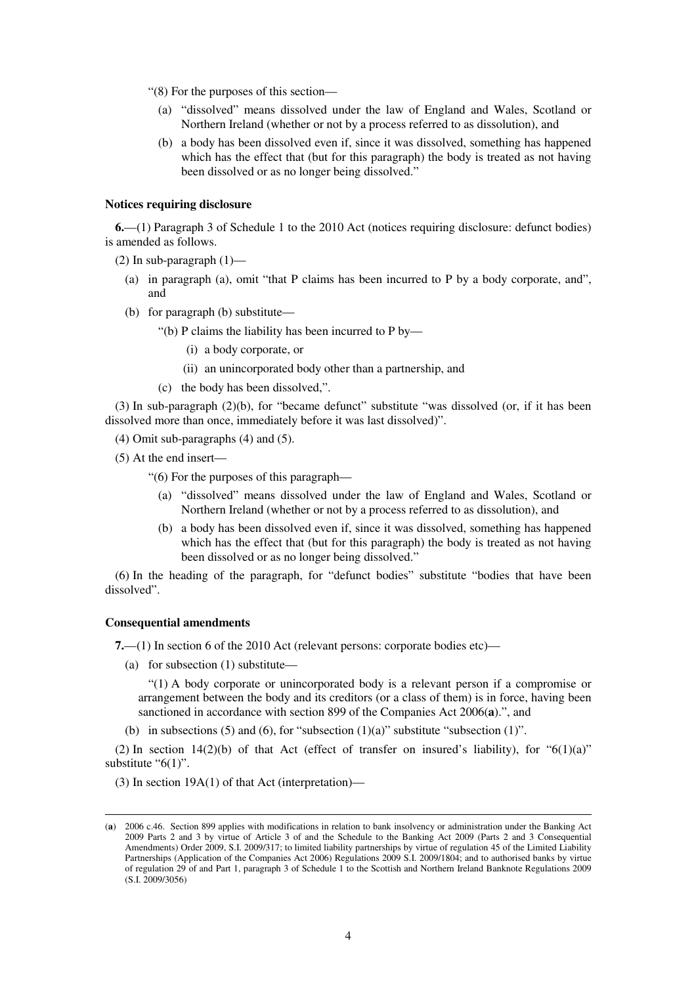"(8) For the purposes of this section—

- (a) "dissolved" means dissolved under the law of England and Wales, Scotland or Northern Ireland (whether or not by a process referred to as dissolution), and
- (b) a body has been dissolved even if, since it was dissolved, something has happened which has the effect that (but for this paragraph) the body is treated as not having been dissolved or as no longer being dissolved."

### **Notices requiring disclosure**

**6.**—(1) Paragraph 3 of Schedule 1 to the 2010 Act (notices requiring disclosure: defunct bodies) is amended as follows.

(2) In sub-paragraph  $(1)$ —

- (a) in paragraph (a), omit "that P claims has been incurred to P by a body corporate, and", and
- (b) for paragraph (b) substitute—
	- "(b) P claims the liability has been incurred to P by—
		- (i) a body corporate, or
		- (ii) an unincorporated body other than a partnership, and
	- (c) the body has been dissolved,".

(3) In sub-paragraph (2)(b), for "became defunct" substitute "was dissolved (or, if it has been dissolved more than once, immediately before it was last dissolved)".

(4) Omit sub-paragraphs (4) and (5).

(5) At the end insert—

"(6) For the purposes of this paragraph—

- (a) "dissolved" means dissolved under the law of England and Wales, Scotland or Northern Ireland (whether or not by a process referred to as dissolution), and
- (b) a body has been dissolved even if, since it was dissolved, something has happened which has the effect that (but for this paragraph) the body is treated as not having been dissolved or as no longer being dissolved."

(6) In the heading of the paragraph, for "defunct bodies" substitute "bodies that have been dissolved".

### **Consequential amendments**

<u>.</u>

**7.**—(1) In section 6 of the 2010 Act (relevant persons: corporate bodies etc)—

(a) for subsection (1) substitute—

"(1) A body corporate or unincorporated body is a relevant person if a compromise or arrangement between the body and its creditors (or a class of them) is in force, having been sanctioned in accordance with section 899 of the Companies Act 2006(**a**).", and

(b) in subsections (5) and (6), for "subsection  $(1)(a)$ " substitute "subsection  $(1)$ ".

(2) In section 14(2)(b) of that Act (effect of transfer on insured's liability), for " $6(1)(a)$ " substitute " $6(1)$ ".

(3) In section 19A(1) of that Act (interpretation)—

<sup>(</sup>**a**) 2006 c.46. Section 899 applies with modifications in relation to bank insolvency or administration under the Banking Act 2009 Parts 2 and 3 by virtue of Article 3 of and the Schedule to the Banking Act 2009 (Parts 2 and 3 Consequential Amendments) Order 2009, S.I. 2009/317; to limited liability partnerships by virtue of regulation 45 of the Limited Liability Partnerships (Application of the Companies Act 2006) Regulations 2009 S.I. 2009/1804; and to authorised banks by virtue of regulation 29 of and Part 1, paragraph 3 of Schedule 1 to the Scottish and Northern Ireland Banknote Regulations 2009 (S.I. 2009/3056)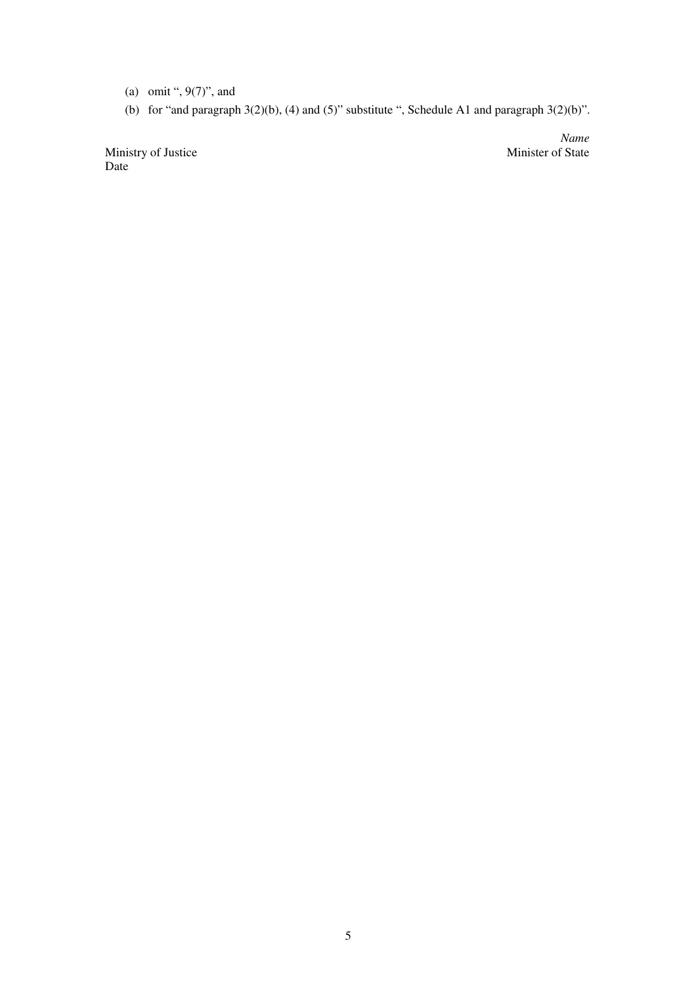- (a) omit ", 9(7)", and
- (b) for "and paragraph  $3(2)(b)$ , (4) and  $(5)$ " substitute ", Schedule A1 and paragraph  $3(2)(b)$ ".

Ministry of Justice Date

*Name*<br>Minister of State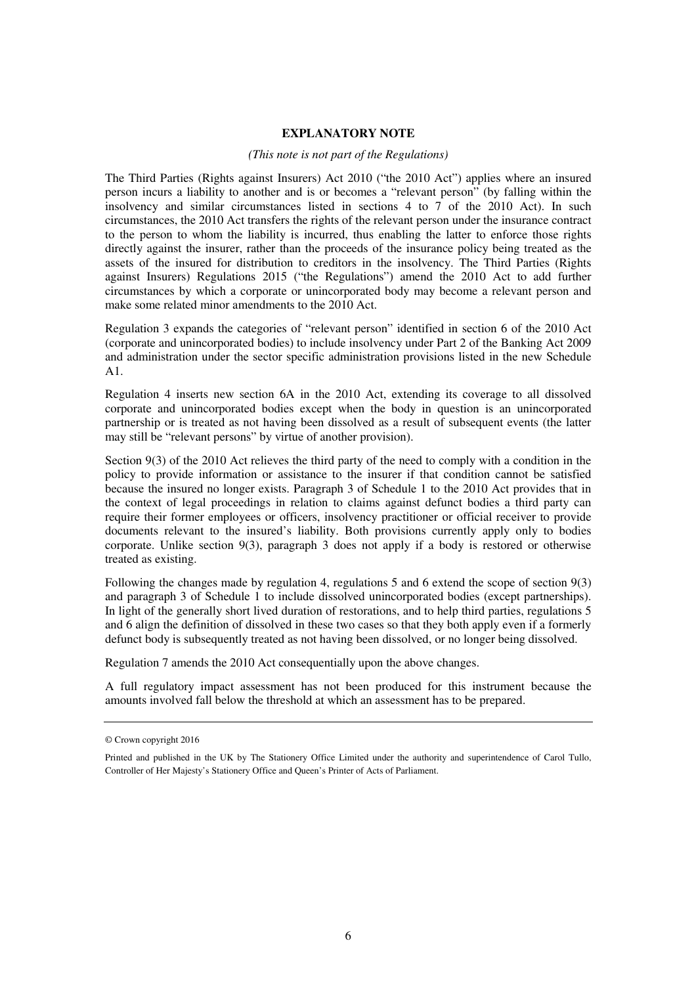### **EXPLANATORY NOTE**

### *(This note is not part of the Regulations)*

The Third Parties (Rights against Insurers) Act 2010 ("the 2010 Act") applies where an insured person incurs a liability to another and is or becomes a "relevant person" (by falling within the insolvency and similar circumstances listed in sections 4 to 7 of the 2010 Act). In such circumstances, the 2010 Act transfers the rights of the relevant person under the insurance contract to the person to whom the liability is incurred, thus enabling the latter to enforce those rights directly against the insurer, rather than the proceeds of the insurance policy being treated as the assets of the insured for distribution to creditors in the insolvency. The Third Parties (Rights against Insurers) Regulations 2015 ("the Regulations") amend the 2010 Act to add further circumstances by which a corporate or unincorporated body may become a relevant person and make some related minor amendments to the 2010 Act.

Regulation 3 expands the categories of "relevant person" identified in section 6 of the 2010 Act (corporate and unincorporated bodies) to include insolvency under Part 2 of the Banking Act 2009 and administration under the sector specific administration provisions listed in the new Schedule A1.

Regulation 4 inserts new section 6A in the 2010 Act, extending its coverage to all dissolved corporate and unincorporated bodies except when the body in question is an unincorporated partnership or is treated as not having been dissolved as a result of subsequent events (the latter may still be "relevant persons" by virtue of another provision).

Section 9(3) of the 2010 Act relieves the third party of the need to comply with a condition in the policy to provide information or assistance to the insurer if that condition cannot be satisfied because the insured no longer exists. Paragraph 3 of Schedule 1 to the 2010 Act provides that in the context of legal proceedings in relation to claims against defunct bodies a third party can require their former employees or officers, insolvency practitioner or official receiver to provide documents relevant to the insured's liability. Both provisions currently apply only to bodies corporate. Unlike section 9(3), paragraph 3 does not apply if a body is restored or otherwise treated as existing.

Following the changes made by regulation 4, regulations 5 and 6 extend the scope of section 9(3) and paragraph 3 of Schedule 1 to include dissolved unincorporated bodies (except partnerships). In light of the generally short lived duration of restorations, and to help third parties, regulations 5 and 6 align the definition of dissolved in these two cases so that they both apply even if a formerly defunct body is subsequently treated as not having been dissolved, or no longer being dissolved.

Regulation 7 amends the 2010 Act consequentially upon the above changes.

A full regulatory impact assessment has not been produced for this instrument because the amounts involved fall below the threshold at which an assessment has to be prepared.

<sup>©</sup> Crown copyright 2016

Printed and published in the UK by The Stationery Office Limited under the authority and superintendence of Carol Tullo, Controller of Her Majesty's Stationery Office and Queen's Printer of Acts of Parliament.